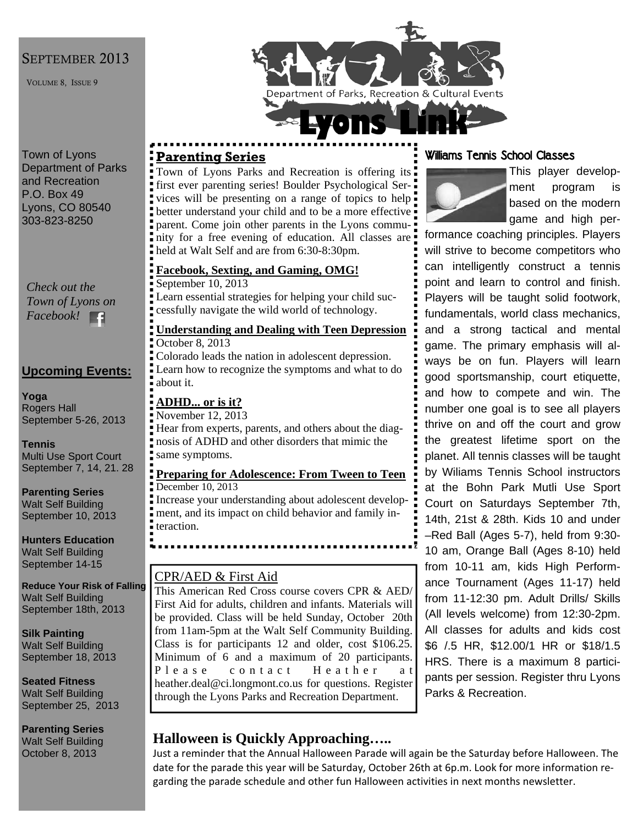#### SEPTEMBER 2013

VOLUME 8, ISSUE 9

Town of Lyons Department of Parks and Recreation P.O. Box 49 Lyons, CO 80540 303-823-8250

*Check out the Town of Lyons on Facebook!*  Е£

#### **Upcoming Events:**

**Yoga**  Rogers Hall September 5-26, 2013

**Tennis**  Multi Use Sport Court September 7, 14, 21. 28

**Parenting Series**  Walt Self Building September 10, 2013

**Hunters Education**  Walt Self Building September 14-15

**Reduce Your Risk of Falling**  Walt Self Building September 18th, 2013

**Silk Painting**  Walt Self Building September 18, 2013

**Seated Fitness**  Walt Self Building September 25, 2013

**Parenting Series**  Walt Self Building October 8, 2013

# Department of Parks, Recreation & Cultural Events

#### **Parenting Series**

Town of Lyons Parks and Recreation is offering its first ever parenting series! Boulder Psychological Services will be presenting on a range of topics to help better understand your child and to be a more effective parent. Come join other parents in the Lyons community for a free evening of education. All classes are held at Walt Self and are from 6:30-8:30pm.

#### **Facebook, Sexting, and Gaming, OMG!**

September 10, 2013

Learn essential strategies for helping your child successfully navigate the wild world of technology.

#### **Understanding and Dealing with Teen Depression** October 8, 2013

Colorado leads the nation in adolescent depression. Learn how to recognize the symptoms and what to do about it.

#### **ADHD... or is it?**

November 12, 2013

Hear from experts, parents, and others about the diagnosis of ADHD and other disorders that mimic the same symptoms.

#### **Preparing for Adolescence: From Tween to Teen** December 10, 2013

Increase your understanding about adolescent development, and its impact on child behavior and family interaction.

### CPR/AED & First Aid

This American Red Cross course covers CPR & AED/ First Aid for adults, children and infants. Materials will be provided. Class will be held Sunday, October 20th from 11am-5pm at the Walt Self Community Building. Class is for participants 12 and older, cost \$106.25. Minimum of 6 and a maximum of 20 participants. P l e a s e contact H e a th e r at heather.deal@ci.longmont.co.us for questions. Register through the Lyons Parks and Recreation Department.

# **Halloween is Quickly Approaching…..**

Just a reminder that the Annual Halloween Parade will again be the Saturday before Halloween. The date for the parade this year will be Saturday, October 26th at 6p.m. Look for more information re‐ garding the parade schedule and other fun Halloween activities in next months newsletter.

#### Williams Tennis School Classes



This player development program is based on the modern game and high per-

formance coaching principles. Players will strive to become competitors who can intelligently construct a tennis point and learn to control and finish. Players will be taught solid footwork, fundamentals, world class mechanics, and a strong tactical and mental game. The primary emphasis will always be on fun. Players will learn good sportsmanship, court etiquette, and how to compete and win. The number one goal is to see all players thrive on and off the court and grow the greatest lifetime sport on the planet. All tennis classes will be taught by Wiliams Tennis School instructors at the Bohn Park Mutli Use Sport Court on Saturdays September 7th, 14th, 21st & 28th. Kids 10 and under –Red Ball (Ages 5-7), held from 9:30- 10 am, Orange Ball (Ages 8-10) held from 10-11 am, kids High Performance Tournament (Ages 11-17) held from 11-12:30 pm. Adult Drills/ Skills (All levels welcome) from 12:30-2pm. All classes for adults and kids cost \$6 /.5 HR, \$12.00/1 HR or \$18/1.5 HRS. There is a maximum 8 participants per session. Register thru Lyons Parks & Recreation.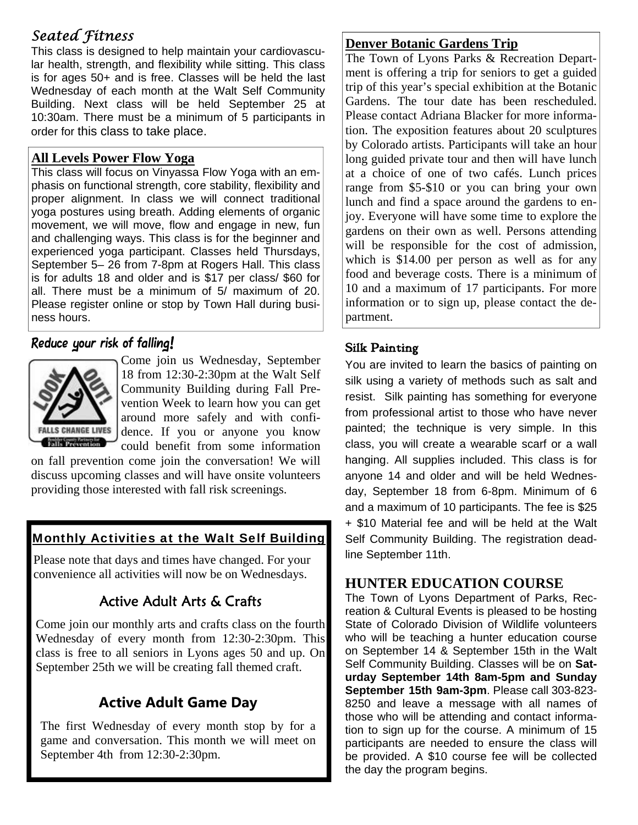# *Seated Fitness*

This class is designed to help maintain your cardiovascular health, strength, and flexibility while sitting. This class is for ages 50+ and is free. Classes will be held the last Wednesday of each month at the Walt Self Community Building. Next class will be held September 25 at 10:30am. There must be a minimum of 5 participants in order for this class to take place.

#### **All Levels Power Flow Yoga**

This class will focus on Vinyassa Flow Yoga with an emphasis on functional strength, core stability, flexibility and proper alignment. In class we will connect traditional yoga postures using breath. Adding elements of organic movement, we will move, flow and engage in new, fun and challenging ways. This class is for the beginner and experienced yoga participant. Classes held Thursdays, September 5– 26 from 7-8pm at Rogers Hall. This class is for adults 18 and older and is \$17 per class/ \$60 for all. There must be a minimum of 5/ maximum of 20. Please register online or stop by Town Hall during business hours.

#### Reduce your risk of falling!



Come join us Wednesday, September 18 from 12:30-2:30pm at the Walt Self Community Building during Fall Prevention Week to learn how you can get around more safely and with confidence. If you or anyone you know could benefit from some information

on fall prevention come join the conversation! We will discuss upcoming classes and will have onsite volunteers providing those interested with fall risk screenings.

#### Monthly Activities at the Walt Self Building

Please note that days and times have changed. For your convenience all activities will now be on Wednesdays.

# Active Adult Arts & Crafts

Come join our monthly arts and crafts class on the fourth Wednesday of every month from 12:30-2:30pm. This class is free to all seniors in Lyons ages 50 and up. On September 25th we will be creating fall themed craft.

# **Active Adult Game Day**

The first Wednesday of every month stop by for a game and conversation. This month we will meet on September 4th from 12:30-2:30pm.

#### **Denver Botanic Gardens Trip**

The Town of Lyons Parks & Recreation Department is offering a trip for seniors to get a guided trip of this year's special exhibition at the Botanic Gardens. The tour date has been rescheduled. Please contact Adriana Blacker for more information. The exposition features about 20 sculptures by Colorado artists. Participants will take an hour long guided private tour and then will have lunch at a choice of one of two cafés. Lunch prices range from \$5-\$10 or you can bring your own lunch and find a space around the gardens to enjoy. Everyone will have some time to explore the gardens on their own as well. Persons attending will be responsible for the cost of admission, which is \$14.00 per person as well as for any food and beverage costs. There is a minimum of 10 and a maximum of 17 participants. For more information or to sign up, please contact the department.

#### Silk Painting

You are invited to learn the basics of painting on silk using a variety of methods such as salt and resist. Silk painting has something for everyone from professional artist to those who have never painted; the technique is very simple. In this class, you will create a wearable scarf or a wall hanging. All supplies included. This class is for anyone 14 and older and will be held Wednesday, September 18 from 6-8pm. Minimum of 6 and a maximum of 10 participants. The fee is \$25 + \$10 Material fee and will be held at the Walt Self Community Building. The registration deadline September 11th.

#### **HUNTER EDUCATION COURSE**

The Town of Lyons Department of Parks, Recreation & Cultural Events is pleased to be hosting State of Colorado Division of Wildlife volunteers who will be teaching a hunter education course on September 14 & September 15th in the Walt Self Community Building. Classes will be on **Saturday September 14th 8am-5pm and Sunday September 15th 9am-3pm**. Please call 303-823- 8250 and leave a message with all names of those who will be attending and contact information to sign up for the course. A minimum of 15 participants are needed to ensure the class will be provided. A \$10 course fee will be collected the day the program begins.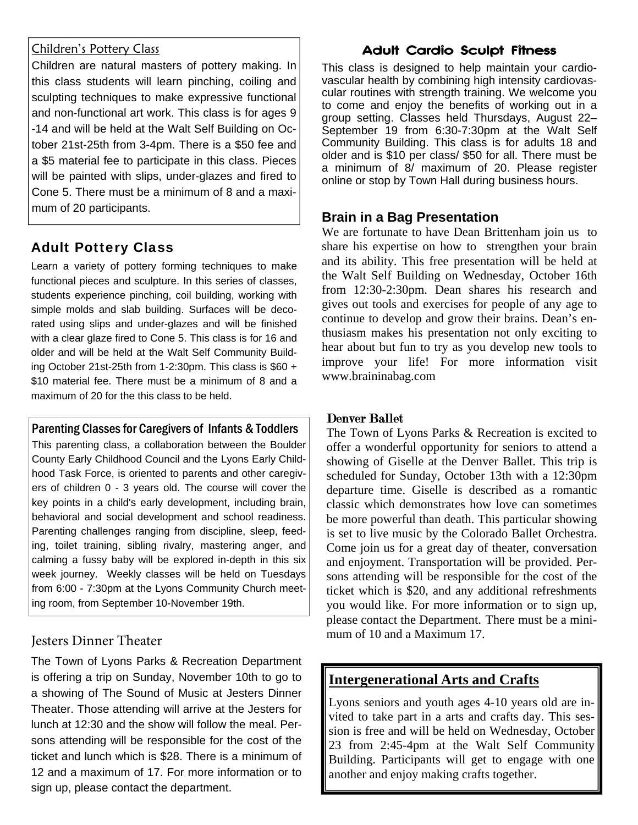#### Children's Pottery Class

Children are natural masters of pottery making. In this class students will learn pinching, coiling and sculpting techniques to make expressive functional and non-functional art work. This class is for ages 9 -14 and will be held at the Walt Self Building on October 21st-25th from 3-4pm. There is a \$50 fee and a \$5 material fee to participate in this class. Pieces will be painted with slips, under-glazes and fired to Cone 5. There must be a minimum of 8 and a maximum of 20 participants.

#### Adult Pottery Class

Learn a variety of pottery forming techniques to make functional pieces and sculpture. In this series of classes, students experience pinching, coil building, working with simple molds and slab building. Surfaces will be decorated using slips and under-glazes and will be finished with a clear glaze fired to Cone 5. This class is for 16 and older and will be held at the Walt Self Community Building October 21st-25th from 1-2:30pm. This class is \$60 + \$10 material fee. There must be a minimum of 8 and a maximum of 20 for the this class to be held.

#### Parenting Classes for Caregivers of Infants & Toddlers

This parenting class, a collaboration between the Boulder County Early Childhood Council and the Lyons Early Childhood Task Force, is oriented to parents and other caregivers of children 0 - 3 years old. The course will cover the key points in a child's early development, including brain, behavioral and social development and school readiness. Parenting challenges ranging from discipline, sleep, feeding, toilet training, sibling rivalry, mastering anger, and calming a fussy baby will be explored in-depth in this six week journey. Weekly classes will be held on Tuesdays from 6:00 - 7:30pm at the Lyons Community Church meeting room, from September 10-November 19th.

#### Jesters Dinner Theater

The Town of Lyons Parks & Recreation Department is offering a trip on Sunday, November 10th to go to a showing of The Sound of Music at Jesters Dinner Theater. Those attending will arrive at the Jesters for lunch at 12:30 and the show will follow the meal. Persons attending will be responsible for the cost of the ticket and lunch which is \$28. There is a minimum of 12 and a maximum of 17. For more information or to sign up, please contact the department.

#### Adult Cardio Sculpt Fitness

This class is designed to help maintain your cardiovascular health by combining high intensity cardiovascular routines with strength training. We welcome you to come and enjoy the benefits of working out in a group setting. Classes held Thursdays, August 22– September 19 from 6:30-7:30pm at the Walt Self Community Building. This class is for adults 18 and older and is \$10 per class/ \$50 for all. There must be a minimum of 8/ maximum of 20. Please register online or stop by Town Hall during business hours.

#### **Brain in a Bag Presentation**

We are fortunate to have Dean Brittenham join us to share his expertise on how to strengthen your brain and its ability. This free presentation will be held at the Walt Self Building on Wednesday, October 16th from 12:30-2:30pm. Dean shares his research and gives out tools and exercises for people of any age to continue to develop and grow their brains. Dean's enthusiasm makes his presentation not only exciting to hear about but fun to try as you develop new tools to improve your life! For more information visit www.braininabag.com

#### Denver Ballet

The Town of Lyons Parks & Recreation is excited to offer a wonderful opportunity for seniors to attend a showing of Giselle at the Denver Ballet. This trip is scheduled for Sunday, October 13th with a 12:30pm departure time. Giselle is described as a romantic classic which demonstrates how love can sometimes be more powerful than death. This particular showing is set to live music by the Colorado Ballet Orchestra. Come join us for a great day of theater, conversation and enjoyment. Transportation will be provided. Persons attending will be responsible for the cost of the ticket which is \$20, and any additional refreshments you would like. For more information or to sign up, please contact the Department. There must be a minimum of 10 and a Maximum 17.

#### **Intergenerational Arts and Crafts**

Lyons seniors and youth ages 4-10 years old are invited to take part in a arts and crafts day. This session is free and will be held on Wednesday, October 23 from 2:45-4pm at the Walt Self Community Building. Participants will get to engage with one another and enjoy making crafts together.